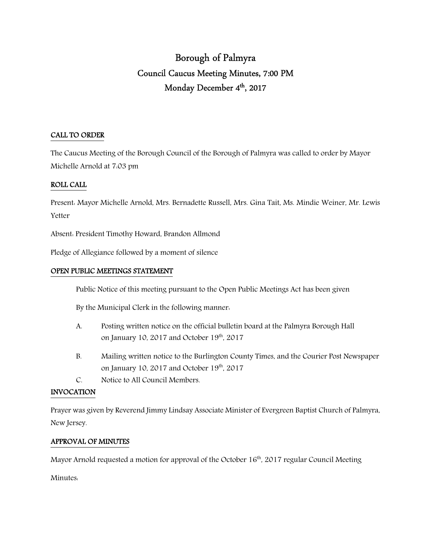# Borough of Palmyra Council Caucus Meeting Minutes, 7:00 PM Monday December 4<sup>th</sup>, 2017

## CALL TO ORDER

The Caucus Meeting of the Borough Council of the Borough of Palmyra was called to order by Mayor Michelle Arnold at 7:03 pm

## ROLL CALL

Present: Mayor Michelle Arnold, Mrs. Bernadette Russell, Mrs. Gina Tait, Ms. Mindie Weiner, Mr. Lewis Yetter

Absent: President Timothy Howard, Brandon Allmond

Pledge of Allegiance followed by a moment of silence

#### OPEN PUBLIC MEETINGS STATEMENT

Public Notice of this meeting pursuant to the Open Public Meetings Act has been given

By the Municipal Clerk in the following manner:

- A. Posting written notice on the official bulletin board at the Palmyra Borough Hall on January 10, 2017 and October 19<sup>th</sup>, 2017
- B. Mailing written notice to the Burlington County Times, and the Courier Post Newspaper on January 10, 2017 and October 19<sup>th</sup>, 2017
- C. Notice to All Council Members.

#### INVOCATION

Prayer was given by Reverend Jimmy Lindsay Associate Minister of Evergreen Baptist Church of Palmyra, New Jersey.

## APPROVAL OF MINUTES

Mayor Arnold requested a motion for approval of the October 16<sup>th</sup>, 2017 regular Council Meeting

Minutes: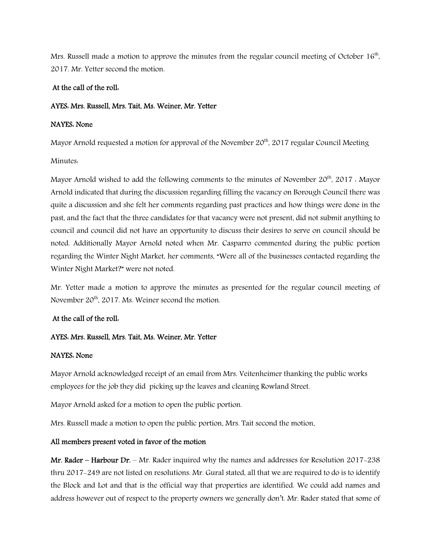Mrs. Russell made a motion to approve the minutes from the regular council meeting of October  $16<sup>th</sup>$ , 2017. Mr. Yetter second the motion.

### At the call of the roll:

#### AYES: Mrs. Russell, Mrs. Tait, Ms. Weiner, Mr. Yetter

### NAYES: None

Mayor Arnold requested a motion for approval of the November  $20<sup>th</sup>$ , 2017 regular Council Meeting

Minutes:

Mayor Arnold wished to add the following comments to the minutes of November  $20^{th}$ ,  $2017$ . Mayor Arnold indicated that during the discussion regarding filling the vacancy on Borough Council there was quite a discussion and she felt her comments regarding past practices and how things were done in the past, and the fact that the three candidates for that vacancy were not present, did not submit anything to council and council did not have an opportunity to discuss their desires to serve on council should be noted. Additionally Mayor Arnold noted when Mr. Casparro commented during the public portion regarding the Winter Night Market, her comments, "Were all of the businesses contacted regarding the Winter Night Market?" were not noted.

Mr. Yetter made a motion to approve the minutes as presented for the regular council meeting of November 20<sup>th</sup>, 2017. Ms. Weiner second the motion.

## At the call of the roll:

## AYES: Mrs. Russell, Mrs. Tait, Ms. Weiner, Mr. Yetter

## NAYES: None

Mayor Arnold acknowledged receipt of an email from Mrs. Veitenheimer thanking the public works employees for the job they did picking up the leaves and cleaning Rowland Street.

Mayor Arnold asked for a motion to open the public portion.

Mrs. Russell made a motion to open the public portion, Mrs. Tait second the motion.

## All members present voted in favor of the motion

Mr. Rader – Harbour Dr. – Mr. Rader inquired why the names and addresses for Resolution 2017-238 thru 2017-249 are not listed on resolutions. Mr. Gural stated, all that we are required to do is to identify the Block and Lot and that is the official way that properties are identified. We could add names and address however out of respect to the property owners we generally don't. Mr. Rader stated that some of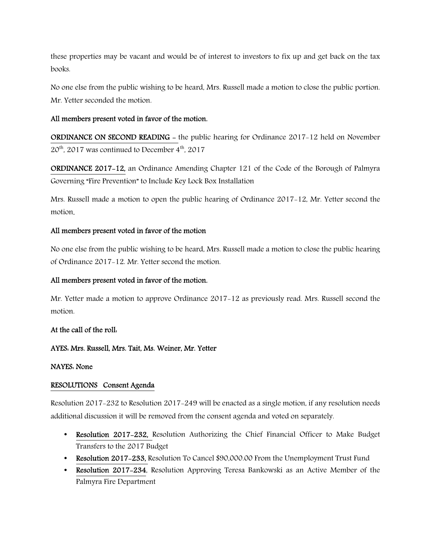these properties may be vacant and would be of interest to investors to fix up and get back on the tax books.

No one else from the public wishing to be heard, Mrs. Russell made a motion to close the public portion. Mr. Yetter seconded the motion.

## All members present voted in favor of the motion.

ORDINANCE ON SECOND READING - the public hearing for Ordinance 2017-12 held on November  $20<sup>th</sup>$ , 2017 was continued to December 4<sup>th</sup>, 2017

ORDINANCE 2017-12, an Ordinance Amending Chapter 121 of the Code of the Borough of Palmyra Governing "Fire Prevention" to Include Key Lock Box Installation

Mrs. Russell made a motion to open the public hearing of Ordinance 2017-12, Mr. Yetter second the motion.

## All members present voted in favor of the motion

No one else from the public wishing to be heard, Mrs. Russell made a motion to close the public hearing of Ordinance 2017-12. Mr. Yetter second the motion.

#### All members present voted in favor of the motion.

Mr. Yetter made a motion to approve Ordinance 2017-12 as previously read. Mrs. Russell second the motion.

#### At the call of the roll:

## AYES: Mrs. Russell, Mrs. Tait, Ms. Weiner, Mr. Yetter

#### NAYES: None

## RESOLUTIONS Consent Agenda

Resolution 2017-232 to Resolution 2017-249 will be enacted as a single motion, if any resolution needs additional discussion it will be removed from the consent agenda and voted on separately.

- Resolution 2017–232, Resolution Authorizing the Chief Financial Officer to Make Budget Transfers to the 2017 Budget
- Resolution 2017–233, Resolution To Cancel \$90,000.00 From the Unemployment Trust Fund
- Resolution 2017-234, Resolution Approving Teresa Bankowski as an Active Member of the Palmyra Fire Department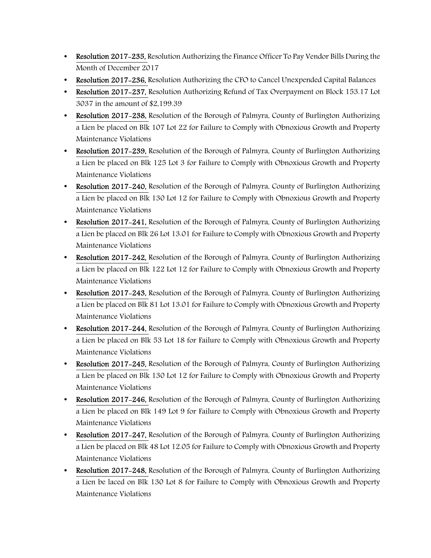- Resolution 2017–235, Resolution Authorizing the Finance Officer To Pay Vendor Bills During the Month of December 2017
- Resolution 2017-236, Resolution Authorizing the CFO to Cancel Unexpended Capital Balances
- Resolution 2017-237, Resolution Authorizing Refund of Tax Overpayment on Block 153.17 Lot 3037 in the amount of \$2,199.39
- Resolution 2017-238, Resolution of the Borough of Palmyra, County of Burlington Authorizing a Lien be placed on Blk 107 Lot 22 for Failure to Comply with Obnoxious Growth and Property Maintenance Violations
- Resolution 2017-239, Resolution of the Borough of Palmyra, County of Burlington Authorizing a Lien be placed on Blk 125 Lot 3 for Failure to Comply with Obnoxious Growth and Property Maintenance Violations
- Resolution 2017-240, Resolution of the Borough of Palmyra, County of Burlington Authorizing a Lien be placed on Blk 130 Lot 12 for Failure to Comply with Obnoxious Growth and Property Maintenance Violations
- Resolution 2017–241, Resolution of the Borough of Palmyra, County of Burlington Authorizing a Lien be placed on Blk 26 Lot 13.01 for Failure to Comply with Obnoxious Growth and Property Maintenance Violations
- Resolution 2017-242, Resolution of the Borough of Palmyra, County of Burlington Authorizing a Lien be placed on Blk 122 Lot 12 for Failure to Comply with Obnoxious Growth and Property Maintenance Violations
- Resolution 2017-243, Resolution of the Borough of Palmyra, County of Burlington Authorizing a Lien be placed on Blk 81 Lot 13.01 for Failure to Comply with Obnoxious Growth and Property Maintenance Violations
- Resolution 2017-244, Resolution of the Borough of Palmyra, County of Burlington Authorizing a Lien be placed on Blk 53 Lot 18 for Failure to Comply with Obnoxious Growth and Property Maintenance Violations
- Resolution 2017-245, Resolution of the Borough of Palmyra, County of Burlington Authorizing a Lien be placed on Blk 130 Lot 12 for Failure to Comply with Obnoxious Growth and Property Maintenance Violations
- Resolution 2017-246, Resolution of the Borough of Palmyra, County of Burlington Authorizing a Lien be placed on Blk 149 Lot 9 for Failure to Comply with Obnoxious Growth and Property Maintenance Violations
- Resolution 2017–247, Resolution of the Borough of Palmyra, County of Burlington Authorizing a Lien be placed on Blk 48 Lot 12.05 for Failure to Comply with Obnoxious Growth and Property Maintenance Violations
- Resolution 2017-248, Resolution of the Borough of Palmyra, County of Burlington Authorizing a Lien be laced on Blk 130 Lot 8 for Failure to Comply with Obnoxious Growth and Property Maintenance Violations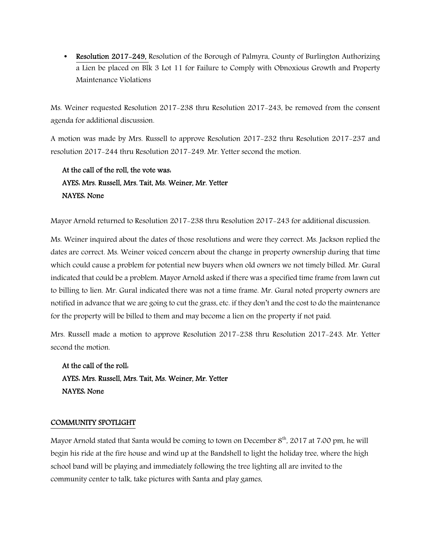• Resolution 2017-249, Resolution of the Borough of Palmyra, County of Burlington Authorizing a Lien be placed on Blk 3 Lot 11 for Failure to Comply with Obnoxious Growth and Property Maintenance Violations

Ms. Weiner requested Resolution 2017-238 thru Resolution 2017-243, be removed from the consent agenda for additional discussion.

A motion was made by Mrs. Russell to approve Resolution 2017-232 thru Resolution 2017-237 and resolution 2017-244 thru Resolution 2017-249. Mr. Yetter second the motion.

## At the call of the roll, the vote was: AYES: Mrs. Russell, Mrs. Tait, Ms. Weiner, Mr. Yetter NAYES: None

Mayor Arnold returned to Resolution 2017-238 thru Resolution 2017-243 for additional discussion.

Ms. Weiner inquired about the dates of those resolutions and were they correct. Ms. Jackson replied the dates are correct. Ms. Weiner voiced concern about the change in property ownership during that time which could cause a problem for potential new buyers when old owners we not timely billed. Mr. Gural indicated that could be a problem. Mayor Arnold asked if there was a specified time frame from lawn cut to billing to lien. Mr. Gural indicated there was not a time frame. Mr. Gural noted property owners are notified in advance that we are going to cut the grass, etc. if they don't and the cost to do the maintenance for the property will be billed to them and may become a lien on the property if not paid.

Mrs. Russell made a motion to approve Resolution 2017-238 thru Resolution 2017-243. Mr. Yetter second the motion.

 At the call of the roll: AYES: Mrs. Russell, Mrs. Tait, Ms. Weiner, Mr. Yetter NAYES: None

## COMMUNITY SPOTLIGHT

Mayor Arnold stated that Santa would be coming to town on December 8<sup>th</sup>, 2017 at 7:00 pm, he will begin his ride at the fire house and wind up at the Bandshell to light the holiday tree, where the high school band will be playing and immediately following the tree lighting all are invited to the community center to talk, take pictures with Santa and play games,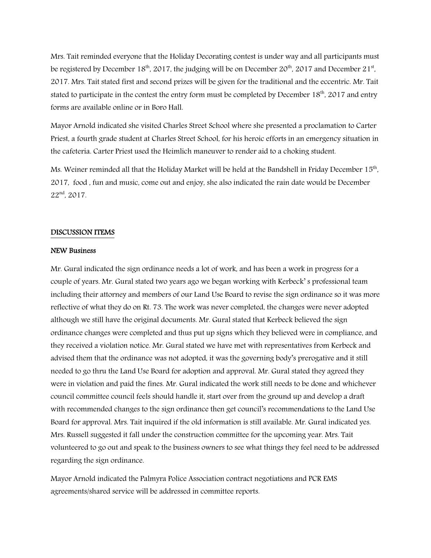Mrs. Tait reminded everyone that the Holiday Decorating contest is under way and all participants must be registered by December 18<sup>th</sup>, 2017, the judging will be on December 20<sup>th</sup>, 2017 and December 21<sup>st</sup>, 2017. Mrs. Tait stated first and second prizes will be given for the traditional and the eccentric. Mr. Tait stated to participate in the contest the entry form must be completed by December 18<sup>th</sup>, 2017 and entry forms are available online or in Boro Hall.

Mayor Arnold indicated she visited Charles Street School where she presented a proclamation to Carter Priest, a fourth grade student at Charles Street School, for his heroic efforts in an emergency situation in the cafeteria. Carter Priest used the Heimlich maneuver to render aid to a choking student.

Ms. Weiner reminded all that the Holiday Market will be held at the Bandshell in Friday December  $15^{\rm th}$ , 2017, food , fun and music, come out and enjoy, she also indicated the rain date would be December 22nd, 2017.

#### DISCUSSION ITEMS

#### NEW Business

Mr. Gural indicated the sign ordinance needs a lot of work, and has been a work in progress for a couple of years. Mr. Gural stated two years ago we began working with Kerbeck' s professional team including their attorney and members of our Land Use Board to revise the sign ordinance so it was more reflective of what they do on Rt. 73. The work was never completed, the changes were never adopted although we still have the original documents. Mr. Gural stated that Kerbeck believed the sign ordinance changes were completed and thus put up signs which they believed were in compliance, and they received a violation notice. Mr. Gural stated we have met with representatives from Kerbeck and advised them that the ordinance was not adopted, it was the governing body's prerogative and it still needed to go thru the Land Use Board for adoption and approval. Mr. Gural stated they agreed they were in violation and paid the fines. Mr. Gural indicated the work still needs to be done and whichever council committee council feels should handle it, start over from the ground up and develop a draft with recommended changes to the sign ordinance then get council's recommendations to the Land Use Board for approval. Mrs. Tait inquired if the old information is still available. Mr. Gural indicated yes. Mrs. Russell suggested it fall under the construction committee for the upcoming year. Mrs. Tait volunteered to go out and speak to the business owners to see what things they feel need to be addressed regarding the sign ordinance.

Mayor Arnold indicated the Palmyra Police Association contract negotiations and PCR EMS agreements/shared service will be addressed in committee reports.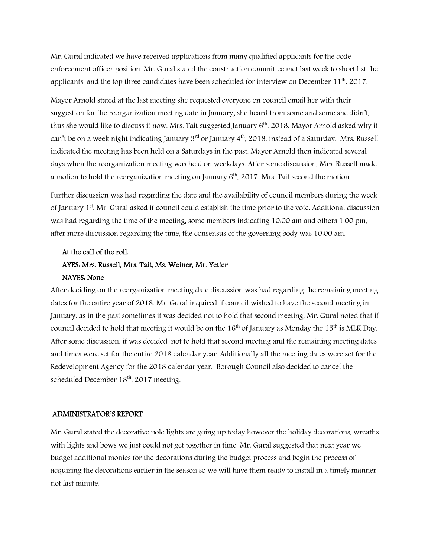Mr. Gural indicated we have received applications from many qualified applicants for the code enforcement officer position. Mr. Gural stated the construction committee met last week to short list the applicants, and the top three candidates have been scheduled for interview on December 11<sup>th</sup>. 2017.

Mayor Arnold stated at the last meeting she requested everyone on council email her with their suggestion for the reorganization meeting date in January; she heard from some and some she didn't, thus she would like to discuss it now. Mrs. Tait suggested January 6<sup>th</sup>, 2018. Mayor Arnold asked why it can't be on a week night indicating January  $3<sup>rd</sup>$  or January  $4<sup>th</sup>$ , 2018, instead of a Saturday. Mrs. Russell indicated the meeting has been held on a Saturdays in the past. Mayor Arnold then indicated several days when the reorganization meeting was held on weekdays. After some discussion, Mrs. Russell made a motion to hold the reorganization meeting on January  $6<sup>th</sup>$ , 2017. Mrs. Tait second the motion.

Further discussion was had regarding the date and the availability of council members during the week of January 1<sup>st</sup>. Mr. Gural asked if council could establish the time prior to the vote. Additional discussion was had regarding the time of the meeting, some members indicating 10:00 am and others 1:00 pm, after more discussion regarding the time, the consensus of the governing body was 10:00 am.

## At the call of the roll: AYES: Mrs. Russell, Mrs. Tait, Ms. Weiner, Mr. Yetter NAYES: None

After deciding on the reorganization meeting date discussion was had regarding the remaining meeting dates for the entire year of 2018. Mr. Gural inquired if council wished to have the second meeting in January, as in the past sometimes it was decided not to hold that second meeting. Mr. Gural noted that if council decided to hold that meeting it would be on the  $16<sup>th</sup>$  of January as Monday the  $15<sup>th</sup>$  is MLK Day. After some discussion, if was decided not to hold that second meeting and the remaining meeting dates and times were set for the entire 2018 calendar year. Additionally all the meeting dates were set for the Redevelopment Agency for the 2018 calendar year. Borough Council also decided to cancel the scheduled December 18<sup>th</sup>, 2017 meeting.

## ADMINISTRATOR'S REPORT

Mr. Gural stated the decorative pole lights are going up today however the holiday decorations, wreaths with lights and bows we just could not get together in time. Mr. Gural suggested that next year we budget additional monies for the decorations during the budget process and begin the process of acquiring the decorations earlier in the season so we will have them ready to install in a timely manner, not last minute.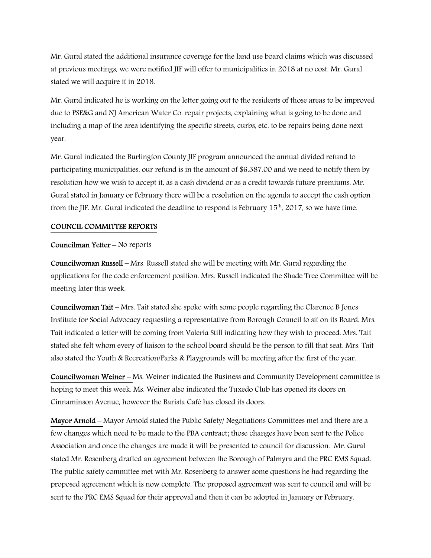Mr. Gural stated the additional insurance coverage for the land use board claims which was discussed at previous meetings, we were notified JIF will offer to municipalities in 2018 at no cost. Mr. Gural stated we will acquire it in 2018.

Mr. Gural indicated he is working on the letter going out to the residents of those areas to be improved due to PSE&G and NJ American Water Co. repair projects, explaining what is going to be done and including a map of the area identifying the specific streets, curbs, etc. to be repairs being done next year.

Mr. Gural indicated the Burlington County JIF program announced the annual divided refund to participating municipalities, our refund is in the amount of \$6,387.00 and we need to notify them by resolution how we wish to accept it, as a cash dividend or as a credit towards future premiums. Mr. Gural stated in January or February there will be a resolution on the agenda to accept the cash option from the JIF. Mr. Gural indicated the deadline to respond is February  $15<sup>th</sup>$ , 2017, so we have time.

#### COUNCIL COMMITTEE REPORTS

#### Councilman Yetter – No reports

Councilwoman Russell – Mrs. Russell stated she will be meeting with Mr. Gural regarding the applications for the code enforcement position. Mrs. Russell indicated the Shade Tree Committee will be meeting later this week.

Councilwoman Tait – Mrs. Tait stated she spoke with some people regarding the Clarence B Jones Institute for Social Advocacy requesting a representative from Borough Council to sit on its Board. Mrs. Tait indicated a letter will be coming from Valeria Still indicating how they wish to proceed. Mrs. Tait stated she felt whom every of liaison to the school board should be the person to fill that seat. Mrs. Tait also stated the Youth & Recreation/Parks & Playgrounds will be meeting after the first of the year.

Councilwoman Weiner – Ms. Weiner indicated the Business and Community Development committee is hoping to meet this week. Ms. Weiner also indicated the Tuxedo Club has opened its doors on Cinnaminson Avenue, however the Barista Café has closed its doors.

Mayor Arnold – Mayor Arnold stated the Public Safety/ Negotiations Committees met and there are a few changes which need to be made to the PBA contract; those changes have been sent to the Police Association and once the changes are made it will be presented to council for discussion. Mr. Gural stated Mr. Rosenberg drafted an agreement between the Borough of Palmyra and the PRC EMS Squad. The public safety committee met with Mr. Rosenberg to answer some questions he had regarding the proposed agreement which is now complete. The proposed agreement was sent to council and will be sent to the PRC EMS Squad for their approval and then it can be adopted in January or February.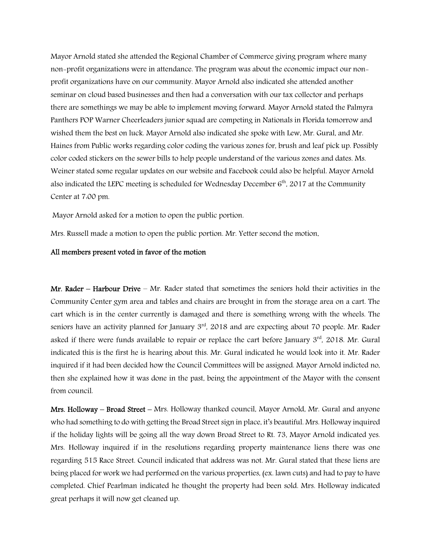Mayor Arnold stated she attended the Regional Chamber of Commerce giving program where many non-profit organizations were in attendance. The program was about the economic impact our nonprofit organizations have on our community. Mayor Arnold also indicated she attended another seminar on cloud based businesses and then had a conversation with our tax collector and perhaps there are somethings we may be able to implement moving forward. Mayor Arnold stated the Palmyra Panthers POP Warner Cheerleaders junior squad are competing in Nationals in Florida tomorrow and wished them the best on luck. Mayor Arnold also indicated she spoke with Lew, Mr. Gural, and Mr. Haines from Public works regarding color coding the various zones for, brush and leaf pick up. Possibly color coded stickers on the sewer bills to help people understand of the various zones and dates. Ms. Weiner stated some regular updates on our website and Facebook could also be helpful. Mayor Arnold also indicated the LEPC meeting is scheduled for Wednesday December  $6<sup>th</sup>$ , 2017 at the Community Center at 7:00 pm.

Mayor Arnold asked for a motion to open the public portion.

Mrs. Russell made a motion to open the public portion. Mr. Yetter second the motion.

#### All members present voted in favor of the motion

Mr. Rader – Harbour Drive – Mr. Rader stated that sometimes the seniors hold their activities in the Community Center gym area and tables and chairs are brought in from the storage area on a cart. The cart which is in the center currently is damaged and there is something wrong with the wheels. The seniors have an activity planned for January 3<sup>rd</sup>, 2018 and are expecting about 70 people. Mr. Rader asked if there were funds available to repair or replace the cart before January 3<sup>rd</sup>, 2018. Mr. Gural indicated this is the first he is hearing about this. Mr. Gural indicated he would look into it. Mr. Rader inquired if it had been decided how the Council Committees will be assigned. Mayor Arnold indicted no, then she explained how it was done in the past, being the appointment of the Mayor with the consent from council.

Mrs. Holloway – Broad Street – Mrs. Holloway thanked council, Mayor Arnold, Mr. Gural and anyone who had something to do with getting the Broad Street sign in place, it's beautiful. Mrs. Holloway inquired if the holiday lights will be going all the way down Broad Street to Rt. 73, Mayor Arnold indicated yes. Mrs. Holloway inquired if in the resolutions regarding property maintenance liens there was one regarding 515 Race Street. Council indicated that address was not. Mr. Gural stated that these liens are being placed for work we had performed on the various properties, (ex. lawn cuts) and had to pay to have completed. Chief Pearlman indicated he thought the property had been sold. Mrs. Holloway indicated great perhaps it will now get cleaned up.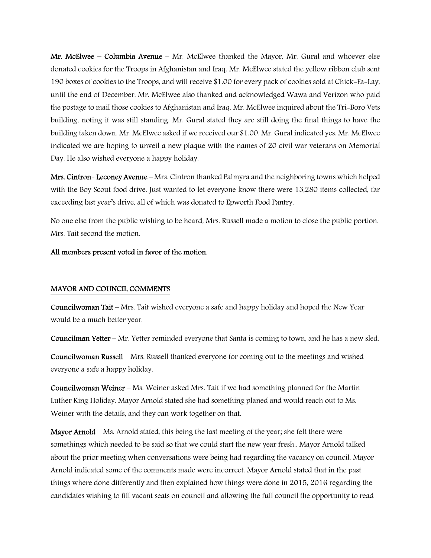Mr. McElwee – Columbia Avenue – Mr. McElwee thanked the Mayor, Mr. Gural and whoever else donated cookies for the Troops in Afghanistan and Iraq. Mr. McElwee stated the yellow ribbon club sent 190 boxes of cookies to the Troops, and will receive \$1.00 for every pack of cookies sold at Chick-Fa-Lay, until the end of December. Mr. McElwee also thanked and acknowledged Wawa and Verizon who paid the postage to mail those cookies to Afghanistan and Iraq. Mr. McElwee inquired about the Tri-Boro Vets building, noting it was still standing. Mr. Gural stated they are still doing the final things to have the building taken down. Mr. McElwee asked if we received our \$1.00. Mr. Gural indicated yes. Mr. McElwee indicated we are hoping to unveil a new plaque with the names of 20 civil war veterans on Memorial Day. He also wished everyone a happy holiday.

Mrs. Cintron- Leconey Avenue – Mrs. Cintron thanked Palmyra and the neighboring towns which helped with the Boy Scout food drive. Just wanted to let everyone know there were 13,280 items collected, far exceeding last year's drive, all of which was donated to Epworth Food Pantry.

No one else from the public wishing to be heard, Mrs. Russell made a motion to close the public portion. Mrs. Tait second the motion.

#### All members present voted in favor of the motion.

#### MAYOR AND COUNCIL COMMENTS

Councilwoman Tait – Mrs. Tait wished everyone a safe and happy holiday and hoped the New Year would be a much better year.

Councilman Yetter – Mr. Yetter reminded everyone that Santa is coming to town, and he has a new sled.

Councilwoman Russell – Mrs. Russell thanked everyone for coming out to the meetings and wished everyone a safe a happy holiday.

Councilwoman Weiner – Ms. Weiner asked Mrs. Tait if we had something planned for the Martin Luther King Holiday. Mayor Arnold stated she had something planed and would reach out to Ms. Weiner with the details, and they can work together on that.

Mayor Arnold – Ms. Arnold stated, this being the last meeting of the year; she felt there were somethings which needed to be said so that we could start the new year fresh.. Mayor Arnold talked about the prior meeting when conversations were being had regarding the vacancy on council. Mayor Arnold indicated some of the comments made were incorrect. Mayor Arnold stated that in the past things where done differently and then explained how things were done in 2015, 2016 regarding the candidates wishing to fill vacant seats on council and allowing the full council the opportunity to read